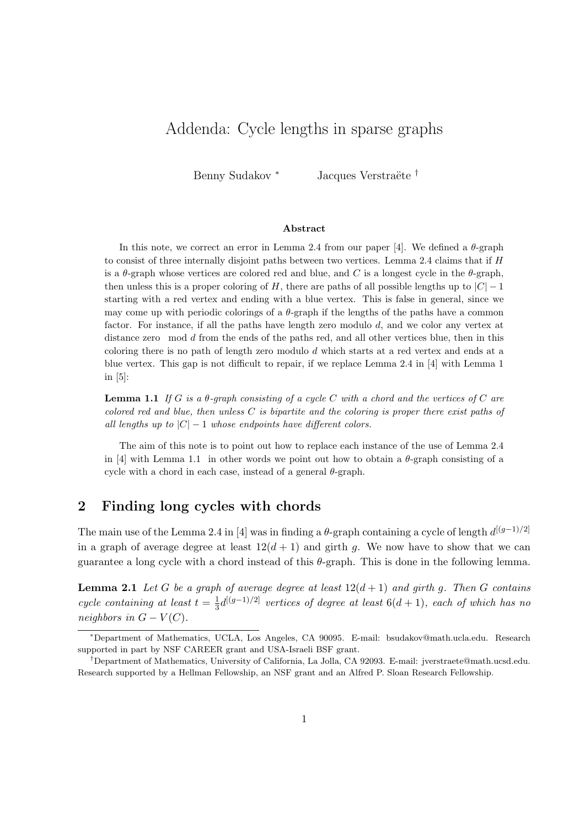# Addenda: Cycle lengths in sparse graphs

Benny Sudakov <sup>∗</sup> Jacques Verstraëte <sup>†</sup>

#### **Abstract**

In this note, we correct an error in Lemma 2.4 from our paper [4]. We defined a *θ*-graph to consist of three internally disjoint paths between two vertices. Lemma 2.4 claims that if *H* is a  $\theta$ -graph whose vertices are colored red and blue, and *C* is a longest cycle in the  $\theta$ -graph, then unless this is a proper coloring of *H*, there are paths of all possible lengths up to  $|C| - 1$ starting with a red vertex and ending with a blue vertex. This is false in general, since we may come up with periodic colorings of a  $\theta$ -graph if the lengths of the paths have a common factor. For instance, if all the paths have length zero modulo *d*, and we color any vertex at distance zero mod *d* from the ends of the paths red, and all other vertices blue, then in this coloring there is no path of length zero modulo *d* which starts at a red vertex and ends at a blue vertex. This gap is not difficult to repair, if we replace Lemma 2.4 in [4] with Lemma 1 in [5]:

**Lemma 1.1** *If G is a θ-graph consisting of a cycle C with a chord and the vertices of C are colored red and blue, then unless C is bipartite and the coloring is proper there exist paths of all lengths up to*  $|C| - 1$  *whose endpoints have different colors.* 

The aim of this note is to point out how to replace each instance of the use of Lemma 2.4 in [4] with Lemma 1.1 in other words we point out how to obtain a *θ*-graph consisting of a cycle with a chord in each case, instead of a general *θ*-graph.

### **2 Finding long cycles with chords**

The main use of the Lemma 2.4 in [4] was in finding a  $\theta$ -graph containing a cycle of length  $d^{[(g-1)/2]}$ in a graph of average degree at least  $12(d+1)$  and girth g. We now have to show that we can guarantee a long cycle with a chord instead of this *θ*-graph. This is done in the following lemma.

**Lemma 2.1** *Let G be a graph of average degree at least*  $12(d+1)$  *and girth g. Then G contains cycle containing at least*  $t = \frac{1}{3}$  $\frac{1}{3}$ d<sup>[(g−1)/2]</sup> *vertices of degree at least* 6(d + 1)*, each of which has no neighbors in*  $G - V(C)$ *.* 

*<sup>∗</sup>*Department of Mathematics, UCLA, Los Angeles, CA 90095. E-mail: bsudakov@math.ucla.edu. Research supported in part by NSF CAREER grant and USA-Israeli BSF grant.

*<sup>†</sup>*Department of Mathematics, University of California, La Jolla, CA 92093. E-mail: jverstraete@math.ucsd.edu. Research supported by a Hellman Fellowship, an NSF grant and an Alfred P. Sloan Research Fellowship.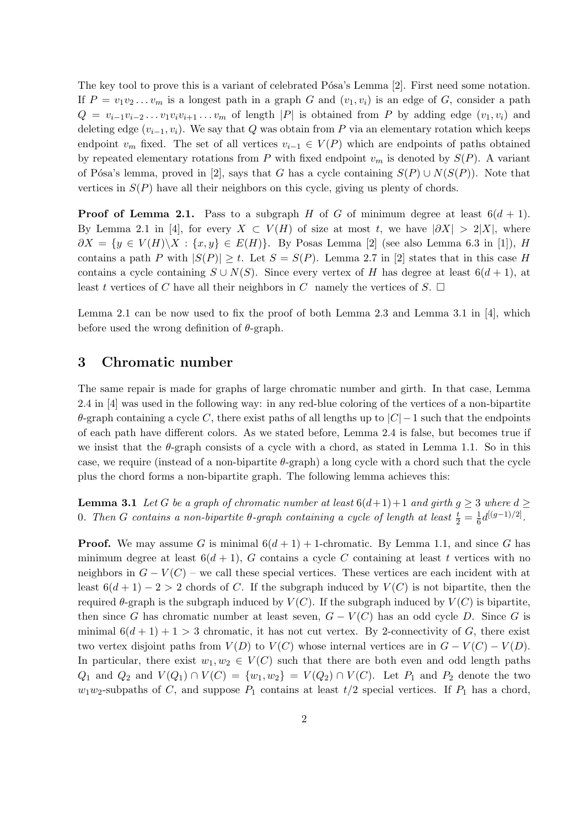The key tool to prove this is a variant of celebrated Pósa's Lemma [2]. First need some notation. If  $P = v_1v_2...v_m$  is a longest path in a graph *G* and  $(v_1, v_i)$  is an edge of *G*, consider a path  $Q = v_{i-1}v_{i-2} \ldots v_1v_iv_{i+1} \ldots v_m$  of length |P| is obtained from P by adding edge  $(v_1, v_i)$  and deleting edge  $(v_{i-1}, v_i)$ . We say that *Q* was obtain from *P* via an elementary rotation which keeps endpoint  $v_m$  fixed. The set of all vertices  $v_{i-1} \in V(P)$  which are endpoints of paths obtained by repeated elementary rotations from *P* with fixed endpoint  $v_m$  is denoted by  $S(P)$ . A variant of Pósa's lemma, proved in [2], says that *G* has a cycle containing  $S(P) \cup N(S(P))$ . Note that vertices in  $S(P)$  have all their neighbors on this cycle, giving us plenty of chords.

**Proof of Lemma 2.1.** Pass to a subgraph *H* of *G* of minimum degree at least  $6(d + 1)$ . By Lemma 2.1 in [4], for every  $X \subset V(H)$  of size at most *t*, we have  $|\partial X| > 2|X|$ , where *∂X* = {*y* ∈ *V*(*H*) $\setminus$ *X* : {*x, y*} ∈ *E*(*H*)}. By Posas Lemma [2] (see also Lemma 6.3 in [1]), *H* contains a path *P* with  $|S(P)| \ge t$ . Let  $S = S(P)$ . Lemma 2.7 in [2] states that in this case *H* contains a cycle containing  $S \cup N(S)$ . Since every vertex of *H* has degree at least  $6(d+1)$ , at least *t* vertices of *C* have all their neighbors in *C* namely the vertices of *S*.  $\Box$ 

Lemma 2.1 can be now used to fix the proof of both Lemma 2.3 and Lemma 3.1 in [4], which before used the wrong definition of *θ*-graph.

#### **3 Chromatic number**

The same repair is made for graphs of large chromatic number and girth. In that case, Lemma 2.4 in [4] was used in the following way: in any red-blue coloring of the vertices of a non-bipartite *θ*-graph containing a cycle *C*, there exist paths of all lengths up to *|C|−*1 such that the endpoints of each path have different colors. As we stated before, Lemma 2.4 is false, but becomes true if we insist that the  $\theta$ -graph consists of a cycle with a chord, as stated in Lemma 1.1. So in this case, we require (instead of a non-bipartite *θ*-graph) a long cycle with a chord such that the cycle plus the chord forms a non-bipartite graph. The following lemma achieves this:

**Lemma 3.1** *Let G be a graph of chromatic number at least*  $6(d+1)+1$  *and girth*  $g \geq 3$  *where*  $d \geq 3$ **0**. Then *G* contains a non-bipartite θ-graph containing a cycle of length at least  $\frac{t}{2} = \frac{1}{6}$  $\frac{1}{6}d^{[(g-1)/2]}$ .

**Proof.** We may assume *G* is minimal  $6(d+1) + 1$ -chromatic. By Lemma 1.1, and since *G* has minimum degree at least  $6(d+1)$ , *G* contains a cycle *C* containing at least *t* vertices with no neighbors in  $G - V(C)$  – we call these special vertices. These vertices are each incident with at least  $6(d+1)-2>2$  chords of *C*. If the subgraph induced by  $V(C)$  is not bipartite, then the required *θ*-graph is the subgraph induced by *V* (*C*). If the subgraph induced by *V* (*C*) is bipartite, then since *G* has chromatic number at least seven,  $G - V(C)$  has an odd cycle *D*. Since *G* is minimal  $6(d+1)+1>3$  chromatic, it has not cut vertex. By 2-connectivity of G, there exist two vertex disjoint paths from  $V(D)$  to  $V(C)$  whose internal vertices are in  $G - V(C) - V(D)$ . In particular, there exist  $w_1, w_2 \in V(C)$  such that there are both even and odd length paths *Q*<sub>1</sub> and *Q*<sub>2</sub> and *V*(*Q*<sub>1</sub>) ∩ *V*(*C*) = {*w*<sub>1</sub>*, w*<sub>2</sub>} = *V*(*Q*<sub>2</sub>) ∩ *V*(*C*). Let *P*<sub>1</sub> and *P*<sub>2</sub> denote the two  $w_1w_2$ -subpaths of *C*, and suppose  $P_1$  contains at least  $t/2$  special vertices. If  $P_1$  has a chord,